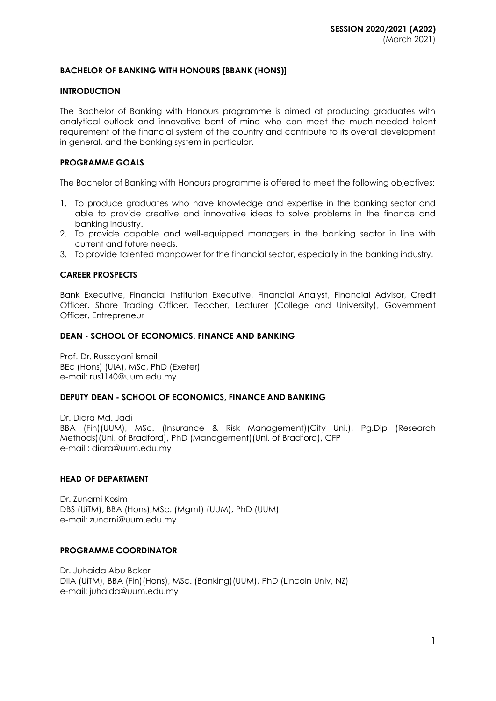# **BACHELOR OF BANKING WITH HONOURS [BBANK (HONS)]**

#### **INTRODUCTION**

The Bachelor of Banking with Honours programme is aimed at producing graduates with analytical outlook and innovative bent of mind who can meet the much-needed talent requirement of the financial system of the country and contribute to its overall development in general, and the banking system in particular.

### **PROGRAMME GOALS**

The Bachelor of Banking with Honours programme is offered to meet the following objectives:

- 1. To produce graduates who have knowledge and expertise in the banking sector and able to provide creative and innovative ideas to solve problems in the finance and banking industry.
- 2. To provide capable and well-equipped managers in the banking sector in line with current and future needs.
- 3. To provide talented manpower for the financial sector, especially in the banking industry.

### **CAREER PROSPECTS**

Bank Executive, Financial Institution Executive, Financial Analyst, Financial Advisor, Credit Officer, Share Trading Officer, Teacher, Lecturer (College and University), Government Officer, Entrepreneur

#### **DEAN - SCHOOL OF ECONOMICS, FINANCE AND BANKING**

Prof. Dr. Russayani Ismail BEc (Hons) (UIA), MSc, PhD (Exeter) e-mail: [rus1140@uum.edu.my](mailto:rus1140@uum.edu.my)

### **DEPUTY DEAN - SCHOOL OF ECONOMICS, FINANCE AND BANKING**

Dr. Diara Md. Jadi BBA (Fin)(UUM), MSc. (Insurance & Risk Management)(City Uni.), Pg.Dip (Research Methods)(Uni. of Bradford), PhD (Management)(Uni. of Bradford), CFP e-mail : [diara@uum.edu.my](mailto:diara@uum.edu.my)

### **HEAD OF DEPARTMENT**

Dr. Zunarni Kosim DBS (UiTM), BBA (Hons),MSc. (Mgmt) (UUM), PhD (UUM) e-mail: zunarni@uum.edu.my

### **PROGRAMME COORDINATOR**

Dr. Juhaida Abu Bakar DIIA (UiTM), BBA (Fin)(Hons), MSc. (Banking)(UUM), PhD (Lincoln Univ, NZ) e-mail: juhaida@uum.edu.my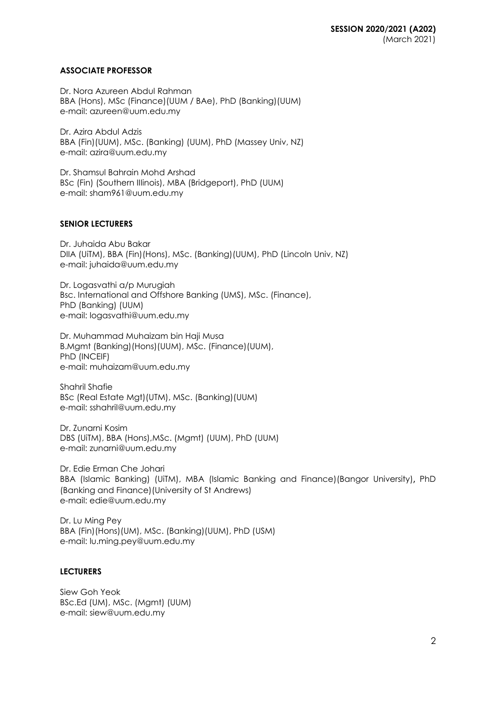# **ASSOCIATE PROFESSOR**

Dr. Nora Azureen Abdul Rahman BBA (Hons), MSc (Finance)(UUM / BAe), PhD (Banking)(UUM) e-mail: [azureen@uum.edu.my](mailto:azureen@uum.edu.my)

Dr. Azira Abdul Adzis BBA (Fin)(UUM), MSc. (Banking) (UUM), PhD (Massey Univ, NZ) e-mail: azira@uum.edu.my

Dr. Shamsul Bahrain Mohd Arshad BSc (Fin) (Southern IIIinois), MBA (Bridgeport), PhD (UUM) e-mail: [sham961@uum.edu.my](mailto:sham961@uum.edu.my)

# **SENIOR LECTURERS**

Dr. Juhaida Abu Bakar DIIA (UiTM), BBA (Fin)(Hons), MSc. (Banking)(UUM), PhD (Lincoln Univ, NZ) e-mail: juhaida@uum.edu.my

Dr. Logasvathi a/p Murugiah Bsc. International and Offshore Banking (UMS), MSc. (Finance), PhD (Banking) (UUM) e-mail: [logasvathi@uum.edu.my](mailto:logasvathi@uum.edu.my)

Dr. Muhammad Muhaizam bin Haji Musa B.Mgmt (Banking)(Hons)(UUM), MSc. (Finance)(UUM), PhD (INCEIF) e-mail: [muhaizam@uum.edu.my](https://uummail.uum.edu.my/OWA/redir.aspx?C=316134b06fae444581b2bc670d646f2b&URL=mailto%3amuhaizam%40uum.edu.my)

Shahril Shafie BSc (Real Estate Mgt)(UTM), MSc. (Banking)(UUM) e-mail: [sshahril@uum.edu.my](mailto:sshahril@uum.edu.my)

Dr. Zunarni Kosim DBS (UiTM), BBA (Hons),MSc. (Mgmt) (UUM), PhD (UUM) e-mail: zunarni@uum.edu.my

Dr. Edie Erman Che Johari BBA (Islamic Banking) (UiTM), MBA (Islamic Banking and Finance)(Bangor University), PhD (Banking and Finance)(University of St Andrews) e-mail: edie@uum.edu.my

Dr. Lu Ming Pey BBA (Fin)(Hons)(UM), MSc. (Banking)(UUM), PhD (USM) e-mail: [lu.ming.pey@uum.edu.my](mailto:lu.ming.pey@uum.edu.my)

### **LECTURERS**

Siew Goh Yeok BSc.Ed (UM), MSc. (Mgmt) (UUM) e-mail: [siew@uum.edu.my](mailto:siew@uum.edu.my)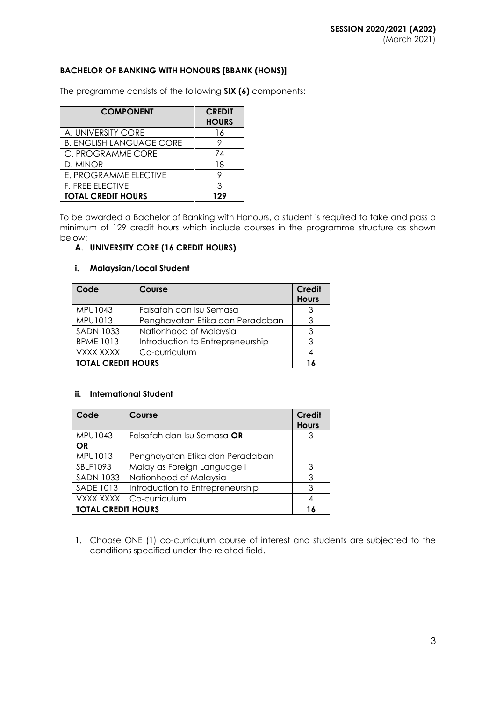# **BACHELOR OF BANKING WITH HONOURS [BBANK (HONS)]**

The programme consists of the following **SIX (6)** components:

| <b>COMPONENT</b>                | <b>CREDIT</b><br><b>HOURS</b> |
|---------------------------------|-------------------------------|
| A. UNIVERSITY CORE              | 16                            |
| <b>B. ENGLISH LANGUAGE CORE</b> |                               |
| C. PROGRAMME CORE               | 74                            |
| D. MINOR                        | 18                            |
| E. PROGRAMME ELECTIVE           |                               |
| F. FREE ELECTIVE                | ર                             |
| <b>TOTAL CREDIT HOURS</b>       | 129                           |

To be awarded a Bachelor of Banking with Honours, a student is required to take and pass a minimum of 129 credit hours which include courses in the programme structure as shown below:

## **A. UNIVERSITY CORE (16 CREDIT HOURS)**

#### **i. Malaysian/Local Student**

| Code                      | Course                           | <b>Credit</b><br><b>Hours</b> |  |
|---------------------------|----------------------------------|-------------------------------|--|
| MPU1043                   | Falsafah dan Isu Semasa          |                               |  |
| MPU1013                   | Penghayatan Etika dan Peradaban  | ર                             |  |
| <b>SADN 1033</b>          | Nationhood of Malaysia           |                               |  |
| <b>BPME 1013</b>          | Introduction to Entrepreneurship | ঽ                             |  |
| VXXX XXXX                 | Co-curriculum                    |                               |  |
| <b>TOTAL CREDIT HOURS</b> |                                  |                               |  |

### **ii. International Student**

| Code                      | Course                           | <b>Credit</b> |
|---------------------------|----------------------------------|---------------|
|                           |                                  | <b>Hours</b>  |
| MPU1043                   | Falsafah dan Isu Semasa OR       | 3             |
| OR                        |                                  |               |
| MPU1013                   | Penghayatan Etika dan Peradaban  |               |
| SBLF1093                  | Malay as Foreign Language I      | 3             |
| <b>SADN 1033</b>          | Nationhood of Malaysia           | 3             |
| <b>SADE 1013</b>          | Introduction to Entrepreneurship | 3             |
| VXXX XXXX                 | Co-curriculum                    |               |
| <b>TOTAL CREDIT HOURS</b> |                                  |               |

1. Choose ONE (1) co-curriculum course of interest and students are subjected to the conditions specified under the related field.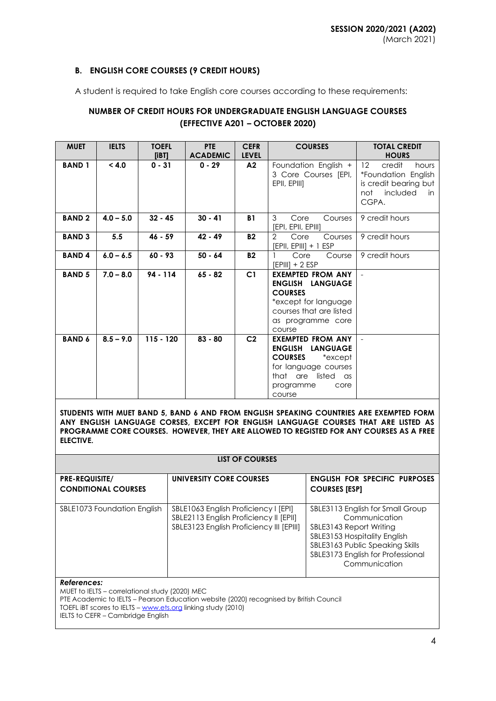# **B. ENGLISH CORE COURSES (9 CREDIT HOURS)**

A student is required to take English core courses according to these requirements:

# **NUMBER OF CREDIT HOURS FOR UNDERGRADUATE ENGLISH LANGUAGE COURSES (EFFECTIVE A201 – OCTOBER 2020)**

| <b>MUET</b>   | <b>IELTS</b> | <b>TOEFL</b><br>[IBT] | <b>PTE</b><br><b>ACADEMIC</b> | <b>CEFR</b><br><b>LEVEL</b> | <b>COURSES</b>                                                                                                                                                          | <b>TOTAL CREDIT</b><br><b>HOURS</b>                                                                                    |
|---------------|--------------|-----------------------|-------------------------------|-----------------------------|-------------------------------------------------------------------------------------------------------------------------------------------------------------------------|------------------------------------------------------------------------------------------------------------------------|
| <b>BAND1</b>  | < 4.0        | $0 - 31$              | $0 - 29$                      | A2                          | Foundation English +<br>3 Core Courses [EPI,<br>EPII, EPIII]                                                                                                            | $12 \overline{ }$<br>credit<br>hours<br>*Foundation English<br>is credit bearing but<br>not<br>included<br>in<br>CGPA. |
| <b>BAND2</b>  | $4.0 - 5.0$  | $32 - 45$             | $30 - 41$                     | <b>B1</b>                   | 3<br>Core<br>Courses<br>[EPI, EPII, EPIII]                                                                                                                              | 9 credit hours                                                                                                         |
| <b>BAND 3</b> | 5.5          | $46 - 59$             | 42 - 49                       | <b>B2</b>                   | $\mathcal{P}$<br>Core<br>Courses<br>[EPII, EPIII] + 1 ESP                                                                                                               | 9 credit hours                                                                                                         |
| <b>BAND4</b>  | $6.0 - 6.5$  | $60 - 93$             | $50 - 64$                     | <b>B2</b>                   | Core<br>Course<br>[EPIII] + 2 ESP                                                                                                                                       | 9 credit hours                                                                                                         |
| <b>BAND 5</b> | $7.0 - 8.0$  | $94 - 114$            | $65 - 82$                     | C1                          | <b>EXEMPTED FROM ANY</b><br><b>ENGLISH LANGUAGE</b><br><b>COURSES</b><br>*except for language<br>courses that are listed<br>as programme core<br>course                 |                                                                                                                        |
| <b>BAND 6</b> | $8.5 - 9.0$  | $115 - 120$           | $83 - 80$                     | C <sub>2</sub>              | <b>EXEMPTED FROM ANY</b><br><b>ENGLISH</b><br><b>LANGUAGE</b><br><b>COURSES</b><br>*except<br>for language courses<br>that are listed as<br>programme<br>core<br>course |                                                                                                                        |

**STUDENTS WITH MUET BAND 5, BAND 6 AND FROM ENGLISH SPEAKING COUNTRIES ARE EXEMPTED FORM ANY ENGLISH LANGUAGE CORSES, EXCEPT FOR ENGLISH LANGUAGE COURSES THAT ARE LISTED AS PROGRAMME CORE COURSES. HOWEVER, THEY ARE ALLOWED TO REGISTED FOR ANY COURSES AS A FREE ELECTIVE.**

#### **LIST OF COURSES**

| <b>PRE-REQUISITE/</b>       | UNIVERSITY CORE COURSES                                                                                                    | <b>ENGLISH FOR SPECIFIC PURPOSES</b>                                                                                                                                                                  |
|-----------------------------|----------------------------------------------------------------------------------------------------------------------------|-------------------------------------------------------------------------------------------------------------------------------------------------------------------------------------------------------|
| <b>CONDITIONAL COURSES</b>  |                                                                                                                            | <b>COURSES [ESP]</b>                                                                                                                                                                                  |
|                             |                                                                                                                            |                                                                                                                                                                                                       |
| SBLE1073 Foundation English | SBLE1063 English Proficiency I [EPI]<br>SBLE2113 English Proficiency II [EPII]<br>SBLE3123 English Proficiency III [EPIII] | SBLE3113 English for Small Group<br>Communication<br>SBLE3143 Report Writing<br>SBLE3153 Hospitality English<br>SBLE3163 Public Speaking Skills<br>SBLE3173 English for Professional<br>Communication |
| References:                 |                                                                                                                            |                                                                                                                                                                                                       |

MUET to IELTS – correlational study (2020) MEC PTE Academic to IELTS – Pearson Education website (2020) recognised by British Council TOEFL iBT scores to IELTS – [www.ets.org](http://www.ets.org/) linking study (2010) IELTS to CEFR - Cambridge English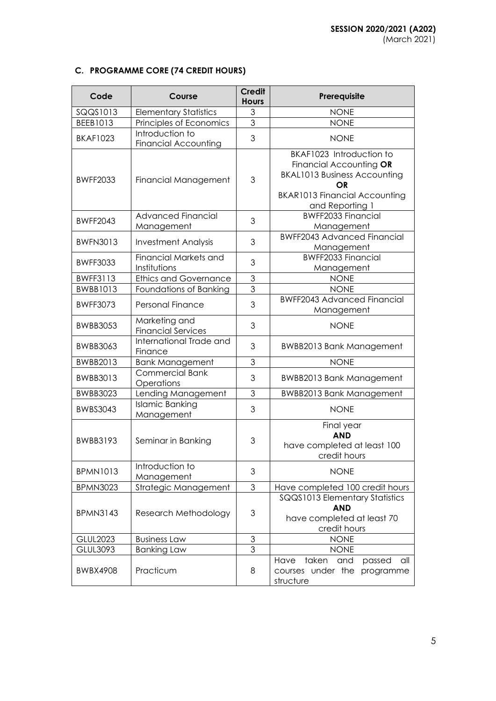# **C. PROGRAMME CORE (74 CREDIT HOURS)**

| Code            | Course                                         | <b>Credit</b><br><b>Hours</b> | Prerequisite                                                                                                                                                       |
|-----------------|------------------------------------------------|-------------------------------|--------------------------------------------------------------------------------------------------------------------------------------------------------------------|
| SQQS1013        | <b>Elementary Statistics</b>                   | 3                             | <b>NONE</b>                                                                                                                                                        |
| BEEB1013        | Principles of Economics                        | $\overline{3}$                | <b>NONE</b>                                                                                                                                                        |
| <b>BKAF1023</b> | Introduction to<br><b>Financial Accounting</b> | 3                             | <b>NONE</b>                                                                                                                                                        |
| <b>BWFF2033</b> | Financial Management                           | 3                             | BKAF1023 Introduction to<br>Financial Accounting OR<br><b>BKAL1013 Business Accounting</b><br><b>OR</b><br><b>BKAR1013 Financial Accounting</b><br>and Reporting 1 |
| <b>BWFF2043</b> | <b>Advanced Financial</b><br>Management        | 3                             | <b>BWFF2033 Financial</b><br>Management                                                                                                                            |
| <b>BWFN3013</b> | <b>Investment Analysis</b>                     | 3                             | <b>BWFF2043 Advanced Financial</b><br>Management                                                                                                                   |
| <b>BWFF3033</b> | Financial Markets and<br>Institutions          | 3                             | <b>BWFF2033 Financial</b><br>Management                                                                                                                            |
| <b>BWFF3113</b> | <b>Ethics and Governance</b>                   | 3                             | <b>NONE</b>                                                                                                                                                        |
| <b>BWBB1013</b> | Foundations of Banking                         | 3                             | <b>NONE</b>                                                                                                                                                        |
| <b>BWFF3073</b> | <b>Personal Finance</b>                        | 3                             | <b>BWFF2043 Advanced Financial</b><br>Management                                                                                                                   |
| <b>BWBB3053</b> | Marketing and<br><b>Financial Services</b>     | 3                             | <b>NONE</b>                                                                                                                                                        |
| <b>BWBB3063</b> | International Trade and<br>Finance             | 3                             | <b>BWBB2013 Bank Management</b>                                                                                                                                    |
| BWBB2013        | <b>Bank Management</b>                         | 3                             | <b>NONE</b>                                                                                                                                                        |
| BWBB3013        | <b>Commercial Bank</b><br>Operations           | 3                             | <b>BWBB2013 Bank Management</b>                                                                                                                                    |
| <b>BWBB3023</b> | Lending Management                             | 3                             | <b>BWBB2013 Bank Management</b>                                                                                                                                    |
| <b>BWBS3043</b> | <b>Islamic Banking</b><br>Management           | 3                             | <b>NONE</b>                                                                                                                                                        |
| <b>BWBB3193</b> | Seminar in Banking                             | 3                             | Final year<br><b>AND</b><br>have completed at least 100<br>credit hours                                                                                            |
| <b>BPMN1013</b> | Introduction to<br>Management                  | 3                             | <b>NONE</b>                                                                                                                                                        |
| <b>BPMN3023</b> | Strategic Management                           | 3                             | Have completed 100 credit hours                                                                                                                                    |
| <b>BPMN3143</b> | Research Methodology                           | 3                             | SQQS1013 Elementary Statistics<br><b>AND</b><br>have completed at least 70<br>credit hours                                                                         |
| <b>GLUL2023</b> | <b>Business Law</b>                            | $\mathfrak{S}$                | <b>NONE</b>                                                                                                                                                        |
| GLUL3093        | <b>Banking Law</b>                             | 3                             | <b>NONE</b>                                                                                                                                                        |
| <b>BWBX4908</b> | Practicum                                      | 8                             | taken<br>Have<br>and<br>passed<br>all<br>courses under the<br>programme<br>structure                                                                               |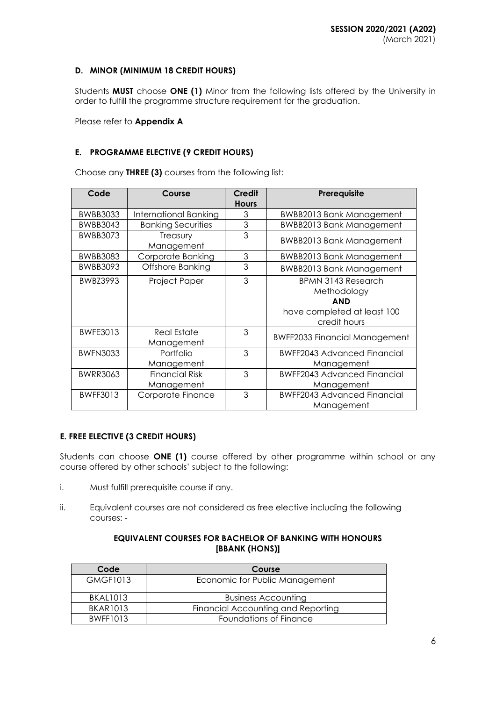# **D. MINOR (MINIMUM 18 CREDIT HOURS)**

Students **MUST** choose **ONE (1)** Minor from the following lists offered by the University in order to fulfill the programme structure requirement for the graduation.

Please refer to **Appendix A**

# **E. PROGRAMME ELECTIVE (9 CREDIT HOURS)**

Choose any **THREE (3)** courses from the following list:

| Code            | Course                              | Credit<br><b>Hours</b> | Prerequisite                                                                                   |
|-----------------|-------------------------------------|------------------------|------------------------------------------------------------------------------------------------|
| <b>BWBB3033</b> | International Banking               | 3                      | <b>BWBB2013 Bank Management</b>                                                                |
| <b>BWBB3043</b> | <b>Banking Securities</b>           | $\mathfrak{Z}$         | <b>BWBB2013 Bank Management</b>                                                                |
| <b>BWBB3073</b> | Treasury<br>Management              | 3                      | <b>BWBB2013 Bank Management</b>                                                                |
| <b>BWBB3083</b> | Corporate Banking                   | $\mathfrak{S}$         | <b>BWBB2013 Bank Management</b>                                                                |
| <b>BWBB3093</b> | Offshore Banking                    | 3                      | <b>BWBB2013 Bank Management</b>                                                                |
| BWBZ3993        | Project Paper                       | 3                      | BPMN 3143 Research<br>Methodology<br><b>AND</b><br>have completed at least 100<br>credit hours |
| <b>BWFE3013</b> | <b>Real Estate</b><br>Management    | 3                      | <b>BWFF2033 Financial Management</b>                                                           |
| <b>BWFN3033</b> | Portfolio<br>Management             | 3                      | <b>BWFF2043 Advanced Financial</b><br>Management                                               |
| <b>BWRR3063</b> | <b>Financial Risk</b><br>Management | 3                      | <b>BWFF2043 Advanced Financial</b><br>Management                                               |
| <b>BWFF3013</b> | Corporate Finance                   | 3                      | <b>BWFF2043 Advanced Financial</b><br>Management                                               |

### **E. FREE ELECTIVE (3 CREDIT HOURS)**

Students can choose **ONE (1)** course offered by other programme within school or any course offered by other schools' subject to the following:

- i. Must fulfill prerequisite course if any.
- ii. Equivalent courses are not considered as free elective including the following courses: -

# **EQUIVALENT COURSES FOR BACHELOR OF BANKING WITH HONOURS [BBANK (HONS)]**

| Code            | Course                             |
|-----------------|------------------------------------|
| <b>GMGF1013</b> | Economic for Public Management     |
| <b>BKAL1013</b> | <b>Business Accounting</b>         |
| <b>BKAR1013</b> | Financial Accounting and Reporting |
| <b>BWFF1013</b> | Foundations of Finance             |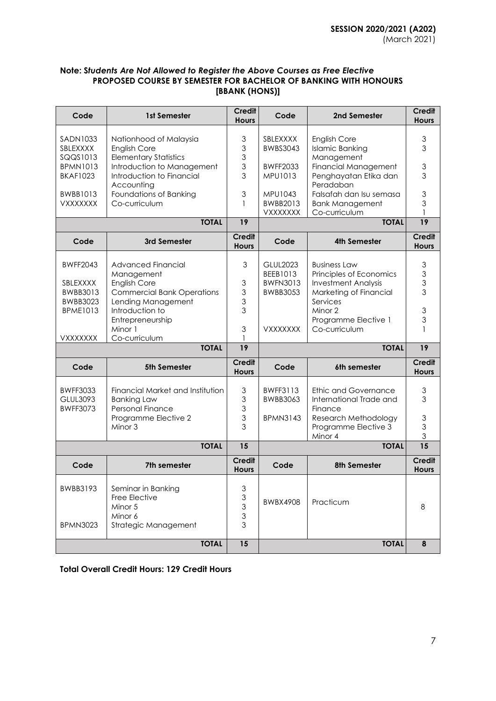# **Note: S***tudents Are Not Allowed to Register the Above Courses as Free Elective* **PROPOSED COURSE BY SEMESTER FOR BACHELOR OF BANKING WITH HONOURS [BBANK (HONS)]**

| Code                                                                                      | 1st Semester                                                                                                                                                                     | <b>Credit</b><br><b>Hours</b>                                | Code                                                                 | 2nd Semester                                                                                                                                                | Credit<br><b>Hours</b>                                                            |
|-------------------------------------------------------------------------------------------|----------------------------------------------------------------------------------------------------------------------------------------------------------------------------------|--------------------------------------------------------------|----------------------------------------------------------------------|-------------------------------------------------------------------------------------------------------------------------------------------------------------|-----------------------------------------------------------------------------------|
| SADN1033<br>SBLEXXXX<br>SQQS1013<br><b>BPMN1013</b><br><b>BKAF1023</b><br><b>BWBB1013</b> | Nationhood of Malaysia<br><b>English Core</b><br><b>Elementary Statistics</b><br>Introduction to Management<br>Introduction to Financial<br>Accounting<br>Foundations of Banking | 3<br>3<br>3<br>3<br>3<br>3                                   | SBLEXXXX<br><b>BWBS3043</b><br><b>BWFF2033</b><br>MPU1013<br>MPU1043 | <b>English Core</b><br><b>Islamic Banking</b><br>Management<br><b>Financial Management</b><br>Penghayatan Etika dan<br>Peradaban<br>Falsafah dan Isu semasa | $\ensuremath{\mathsf{3}}$<br>3<br>$\ensuremath{\mathsf{3}}$<br>3<br>$\mathfrak 3$ |
| <b>VXXXXXXX</b>                                                                           | Co-curriculum                                                                                                                                                                    | 1                                                            | BWBB2013<br>VXXXXXXX                                                 | <b>Bank Management</b><br>Co-curriculum                                                                                                                     | 3                                                                                 |
|                                                                                           | <b>TOTAL</b>                                                                                                                                                                     | 19                                                           |                                                                      | <b>TOTAL</b>                                                                                                                                                | 19                                                                                |
| Code                                                                                      | 3rd Semester                                                                                                                                                                     | <b>Credit</b><br><b>Hours</b>                                | Code                                                                 | <b>4th Semester</b>                                                                                                                                         | <b>Credit</b><br><b>Hours</b>                                                     |
| <b>BWFF2043</b><br>SBLEXXXX<br>BWBB3013<br><b>BWBB3023</b><br><b>BPME1013</b>             | Advanced Financial<br>Management<br><b>English Core</b><br><b>Commercial Bank Operations</b><br>Lending Management<br>Introduction to                                            | 3<br>$\ensuremath{\mathsf{3}}$<br>3<br>3<br>3                | <b>GLUL2023</b><br>BEEB1013<br><b>BWFN3013</b><br><b>BWBB3053</b>    | <b>Business Law</b><br>Principles of Economics<br><b>Investment Analysis</b><br>Marketing of Financial<br>Services<br>Minor 2                               | 3<br>3<br>3<br>3<br>3                                                             |
| VXXXXXXX                                                                                  | Entrepreneurship<br>Minor 1<br>Co-curriculum                                                                                                                                     | 3                                                            | <b>VXXXXXXX</b>                                                      | Programme Elective 1<br>Co-curriculum                                                                                                                       | 3                                                                                 |
|                                                                                           | <b>TOTAL</b>                                                                                                                                                                     | $\overline{19}$                                              |                                                                      | <b>TOTAL</b>                                                                                                                                                | 19                                                                                |
| Code                                                                                      | 5th Semester                                                                                                                                                                     | <b>Credit</b><br><b>Hours</b>                                | Code                                                                 | 6th semester                                                                                                                                                | Credit<br><b>Hours</b>                                                            |
| <b>BWFF3033</b><br>GLUL3093<br><b>BWFF3073</b>                                            | Financial Market and Institution<br><b>Banking Law</b><br><b>Personal Finance</b><br>Programme Elective 2<br>Minor 3                                                             | 3<br>3<br>3<br>3<br>3                                        | BWFF3113<br>BWBB3063<br><b>BPMN3143</b>                              | <b>Ethic and Governance</b><br>International Trade and<br>Finance<br>Research Methodology<br>Programme Elective 3<br>Minor 4                                | 3<br>3<br>3<br>3<br>3                                                             |
|                                                                                           | <b>TOTAL</b>                                                                                                                                                                     | 15                                                           |                                                                      | <b>TOTAL</b>                                                                                                                                                | $\overline{15}$                                                                   |
| Code                                                                                      | 7th semester                                                                                                                                                                     | <b>Credit</b><br><b>Hours</b>                                | Code                                                                 | 8th Semester                                                                                                                                                | <b>Credit</b><br><b>Hours</b>                                                     |
| BWBB3193<br><b>BPMN3023</b>                                                               | Seminar in Banking<br>Free Elective<br>Minor 5<br>Minor 6<br>Strategic Management                                                                                                | 3<br>$\mathfrak{S}$<br>$\mathfrak{S}$<br>$\mathfrak{S}$<br>3 | <b>BWBX4908</b>                                                      | Practicum                                                                                                                                                   | 8                                                                                 |
|                                                                                           | <b>TOTAL</b>                                                                                                                                                                     | 15                                                           |                                                                      | <b>TOTAL</b>                                                                                                                                                | 8                                                                                 |

**Total Overall Credit Hours: 129 Credit Hours**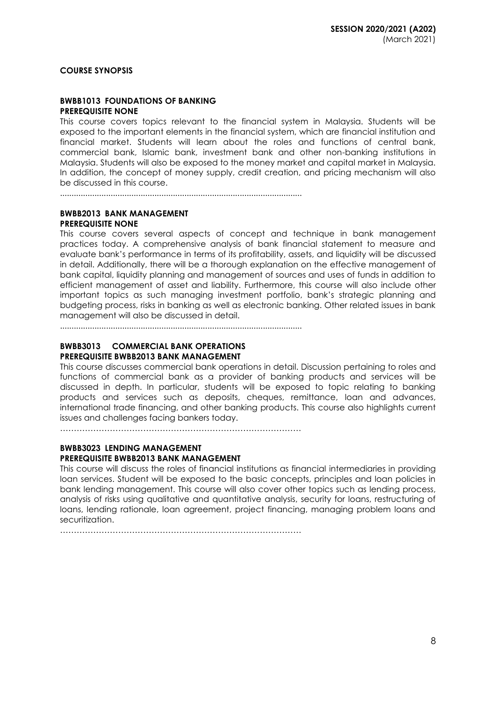**COURSE SYNOPSIS**

#### **BWBB1013 FOUNDATIONS OF BANKING PREREQUISITE NONE**

This course covers topics relevant to the financial system in Malaysia. Students will be exposed to the important elements in the financial system, which are financial institution and financial market. Students will learn about the roles and functions of central bank, commercial bank, Islamic bank, investment bank and other non-banking institutions in Malaysia. Students will also be exposed to the money market and capital market in Malaysia. In addition, the concept of money supply, credit creation, and pricing mechanism will also be discussed in this course.

.........................................................................................................

#### **BWBB2013 BANK MANAGEMENT PREREQUISITE NONE**

This course covers several aspects of concept and technique in bank management practices today. A comprehensive analysis of bank financial statement to measure and evaluate bank's performance in terms of its profitability, assets, and liquidity will be discussed in detail. Additionally, there will be a thorough explanation on the effective management of bank capital, liquidity planning and management of sources and uses of funds in addition to efficient management of asset and liability. Furthermore, this course will also include other important topics as such managing investment portfolio, bank's strategic planning and budgeting process, risks in banking as well as electronic banking. Other related issues in bank management will also be discussed in detail.

.........................................................................................................

# **BWBB3013 COMMERCIAL BANK OPERATIONS**

# **PREREQUISITE BWBB2013 BANK MANAGEMENT**

This course discusses commercial bank operations in detail. Discussion pertaining to roles and functions of commercial bank as a provider of banking products and services will be discussed in depth. In particular, students will be exposed to topic relating to banking products and services such as deposits, cheques, remittance, loan and advances, international trade financing, and other banking products. This course also highlights current issues and challenges facing bankers today.

 $\mathcal{L}^{(n)}$ 

#### **BWBB3023 LENDING MANAGEMENT PREREQUISITE BWBB2013 BANK MANAGEMENT**

This course will discuss the roles of financial institutions as financial intermediaries in providing loan services. Student will be exposed to the basic concepts, principles and loan policies in bank lending management. This course will also cover other topics such as lending process, analysis of risks using qualitative and quantitative analysis, security for loans, restructuring of loans, lending rationale, loan agreement, project financing, managing problem loans and securitization.

……………………………………………………………………………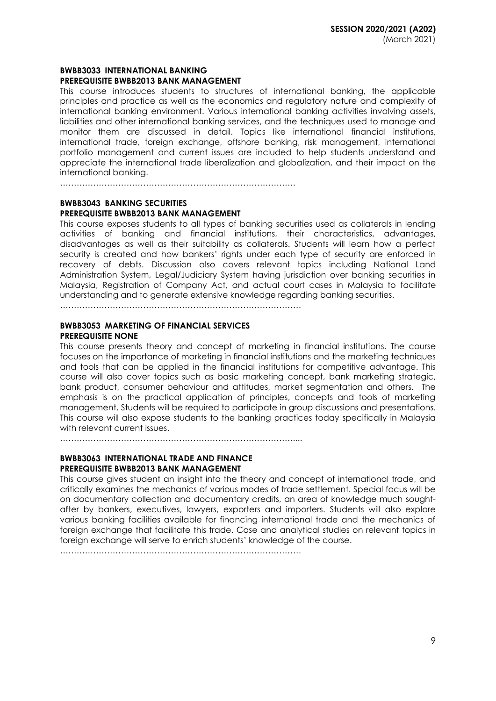#### **BWBB3033 INTERNATIONAL BANKING PREREQUISITE BWBB2013 BANK MANAGEMENT**

This course introduces students to structures of international banking, the applicable principles and practice as well as the economics and regulatory nature and complexity of international banking environment. Various international banking activities involving assets, liabilities and other international banking services, and the techniques used to manage and monitor them are discussed in detail. Topics like international financial institutions, international trade, foreign exchange, offshore banking, risk management, international portfolio management and current issues are included to help students understand and appreciate the international trade liberalization and globalization, and their impact on the international banking.

………………………………………………………………………….

#### **BWBB3043 BANKING SECURITIES PREREQUISITE BWBB2013 BANK MANAGEMENT**

This course exposes students to all types of banking securities used as collaterals in lending activities of banking and financial institutions, their characteristics, advantages, disadvantages as well as their suitability as collaterals. Students will learn how a perfect security is created and how bankers' rights under each type of security are enforced in recovery of debts. Discussion also covers relevant topics including National Land Administration System, Legal/Judiciary System having jurisdiction over banking securities in Malaysia, Registration of Company Act, and actual court cases in Malaysia to facilitate understanding and to generate extensive knowledge regarding banking securities.

……………………………………………………………………………

#### **BWBB3053 MARKETING OF FINANCIAL SERVICES PREREQUISITE NONE**

This course presents theory and concept of marketing in financial institutions. The course focuses on the importance of marketing in financial institutions and the marketing techniques and tools that can be applied in the financial institutions for competitive advantage. This course will also cover topics such as basic marketing concept, bank marketing strategic, bank product, consumer behaviour and attitudes, market segmentation and others. The emphasis is on the practical application of principles, concepts and tools of marketing management. Students will be required to participate in group discussions and presentations. This course will also expose students to the banking practices today specifically in Malaysia with relevant current issues.

…………………………………………………………………………....

### **BWBB3063 INTERNATIONAL TRADE AND FINANCE**

# **PREREQUISITE BWBB2013 BANK MANAGEMENT**

This course gives student an insight into the theory and concept of international trade, and critically examines the mechanics of various modes of trade settlement. Special focus will be on documentary collection and documentary credits, an area of knowledge much soughtafter by bankers, executives, lawyers, exporters and importers. Students will also explore various banking facilities available for financing international trade and the mechanics of foreign exchange that facilitate this trade. Case and analytical studies on relevant topics in foreign exchange will serve to enrich students' knowledge of the course.

……………………………………………………………………………